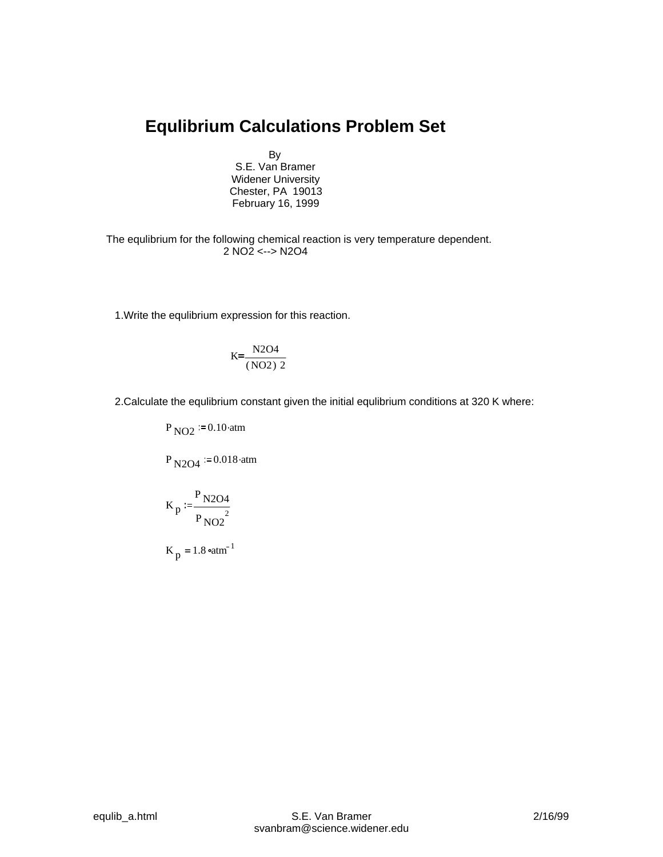## **Equlibrium Calculations Problem Set**

By

S.E. Van Bramer Widener University Chester, PA 19013 February 16, 1999

The equlibrium for the following chemical reaction is very temperature dependent. 2 NO2 <--> N2O4

1.Write the equlibrium expression for this reaction.

$$
K = \frac{N2O4}{(NO2) 2}
$$

2.Calculate the equlibrium constant given the initial equlibrium conditions at 320 K where:

 $P_{NO2} = 0.10 \text{ atm}$ 

 $P_{N2O4}$  = 0.018.atm

$$
K_p := \frac{P_{N2O4}}{P_{NO2}^2}
$$

 $K_p = 1.8$   $\text{atm}^{-1}$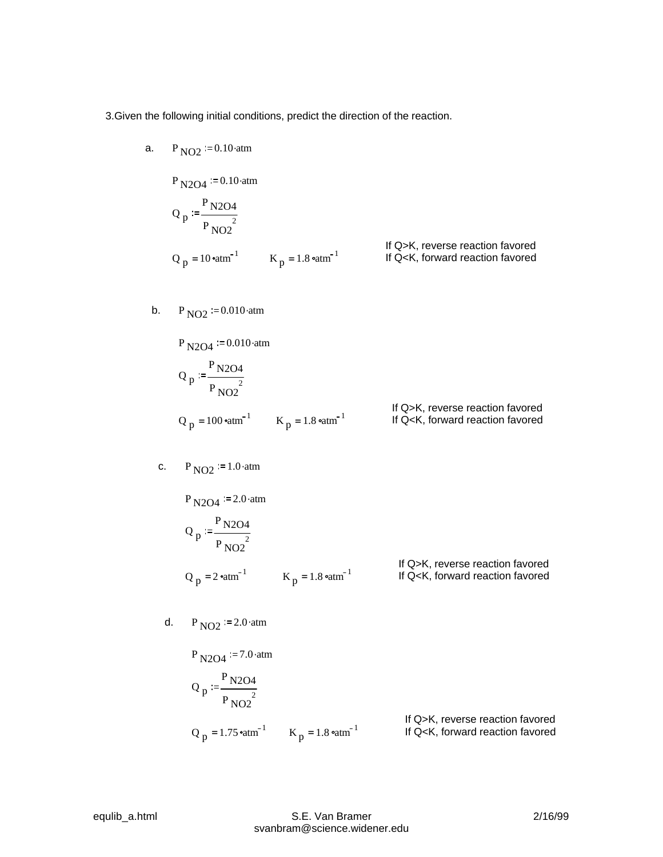3.Given the following initial conditions, predict the direction of the reaction.

- $P_{\text{N2O4}} := 0.10 \text{ atm}$ Q p  $P_{\rm N2O4}$  $P_{NO2}^2$ If Q>K, reverse reaction favored<br>If Q<K, forward reaction favored  $Q_p$  = 10  $\text{atm}^{-1}$   $\text{K}_p$  = 1.8  $\text{atm}^{-1}$  If Q<K, forward reaction favored
- b.  $P_{\text{NO2}} = 0.010 \text{ atm}$

a.  $P_{NO2} = 0.10 \text{ atm}$ 

P <sub>N2O4</sub> := 0.010 atm  
\n
$$
Q_p
$$
 :=  $\frac{P_{N2O4}}{P_{NO2}^2}$   
\n $Q_p$  = 100 atm<sup>-1</sup>  $K_p$  = 1.8 atm<sup>-1</sup> If Q>K, reverse reaction favored  
\nIf Q-K, forward reaction favored

c. 
$$
P_{NO2} = 1.0
$$
 atm

P <sub>N2O4</sub> := 2.0 atm  
\nQ <sub>p</sub> := 
$$
\frac{P_{N2O4}}{P_{NO2}^2}
$$
  
\nQ <sub>p</sub> = 2<sup>o</sup>atm<sup>-1</sup> K<sub>p</sub> = 1.8<sup>o</sup>atm<sup>-1</sup> If Q>K, reverse reaction favored

d.  $P_{NO2}$  = 2.0.atm

 $P_{\text{N2O4}}$  = 7.0.atm Q p  $P_{\rm N2O4}$  $P_{NO2}^2$ If Q>K, reverse reaction favored<br>If Q<K, forward reaction favored Q <sub>p</sub> = 1.75  $\text{atm}^{-1}$  K <sub>p</sub> = 1.8  $\text{atm}^{-1}$  If Q<K, forward reaction favored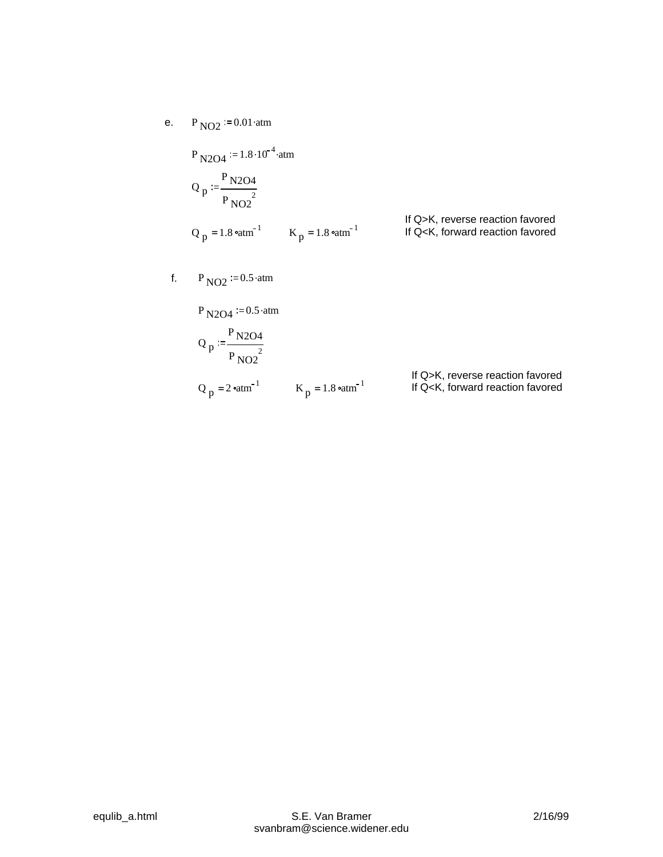e.  $P_{NO2} := 0.01 \text{ atm}$ 

 $P_{N2O4}$  := 1.8 · 10<sup>-4</sup> · atm

$$
Q_p := \frac{P_{N2O4}}{P_{NO2}^2}
$$
  
\n
$$
Q_p = 1.8 \text{ atm}^{-1}
$$
  
\n
$$
K_p = 1.8 \text{ atm}^{-1}
$$
  
\nIf Q>K, reverse reaction favored  
\nIf Q-K, forward reaction favored

f.  $P_{NO2} := 0.5 \cdot atm$ 

 $P_{\rm N2O4} := 0.5 \cdot \text{atm}$ 

$$
Q_p := \frac{P_{N2O4}}{P_{NO2}^2}
$$
  
\n
$$
Q_p = 2 \text{°atm}^{-1}
$$
  
\n
$$
K_p = 1.8 \text{°atm}^{-1}
$$
  
\nIf Q>K, reverse reaction favored  
\nIf Q-K, forward reaction favored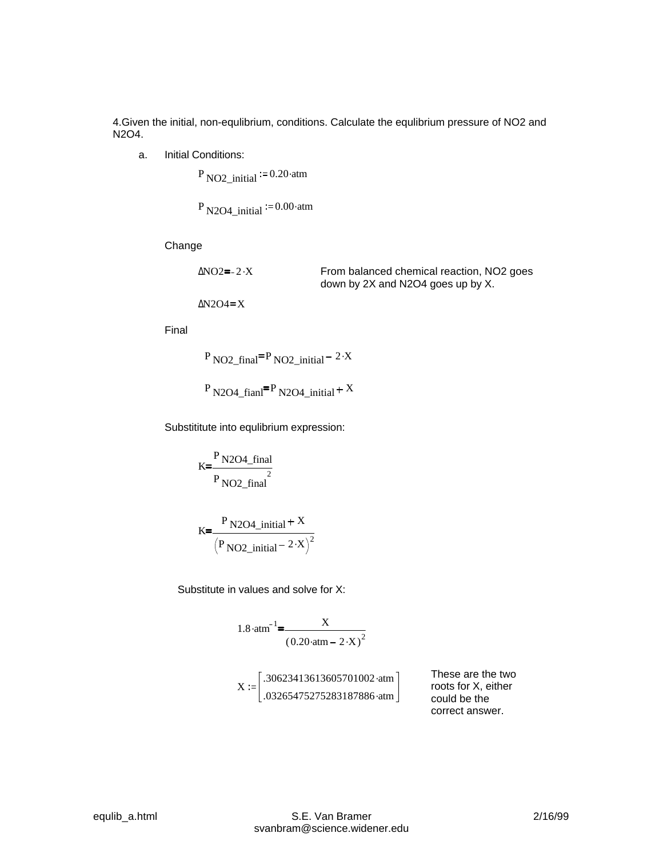4.Given the initial, non-equlibrium, conditions. Calculate the equlibrium pressure of NO2 and N2O4.

a. Initial Conditions:

 $P_{NO2\_initial} = 0.20$  atm

P N2O4 initial  $= 0.00$  atm

Change

| ∆NO2≡- 2∙X | From balanced chemical reaction, NO <sub>2</sub> goes |
|------------|-------------------------------------------------------|
|            | down by 2X and N2O4 goes up by X.                     |

 $\Delta N2O4 = X$ 

Final

 $P_{NO2\_final} = P_{NO2\_initial} - 2 \cdot X$ 

 $P_{\text{N2O4\_fianI}} = P_{\text{N2O4\_initial}} + X$ 

Substititute into equlibrium expression:

$$
K = \frac{P N204_{final}}{P N02_{final}}
$$

$$
K = \frac{P N2O4\_initial + X}{(P NO2\_initial - 2 \cdot X)^{2}}
$$

Substitute in values and solve for X:

1.8 atm<sup>-1</sup>=
$$
\frac{X}{(0.20 \cdot atm - 2 \cdot X)^2}
$$

$$
X := \begin{bmatrix} .30623413613605701002 \cdot atm \\ .03265475275283187886 \cdot atm \end{bmatrix}
$$

These are the two roots for X, either could be the correct answer.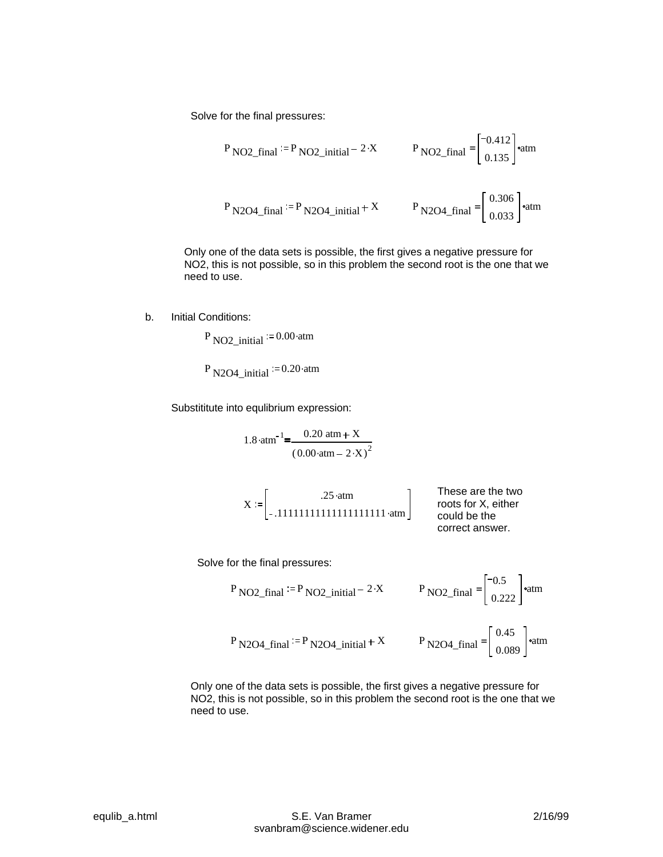Solve for the final pressures:

P NO2-final := P NO2\_initial = 2 × P NO2\_final = 
$$
\begin{bmatrix} -0.412 \\ 0.135 \end{bmatrix}
$$
°atm  
P NO2\_final := P NO2\_initial + X P NO2\_final =  $\begin{bmatrix} 0.306 \\ 0.033 \end{bmatrix}$ °atm

Only one of the data sets is possible, the first gives a negative pressure for NO2, this is not possible, so in this problem the second root is the one that we need to use.

b. Initial Conditions:

 $P_{NO2\_initial} = 0.00 \text{ atm}$ 

P N2O4 initial  $= 0.20$  atm

Substititute into equlibrium expression:

1.8 atm<sup>-1</sup>=
$$
\frac{0.20 \text{ atm} + X}{(0.00 \text{ atm} - 2 \cdot X)^2}
$$

$$
X := \begin{bmatrix} .25 \cdot atm \\ -.111111111111111111111 & atm \end{bmatrix}
$$
 These are the two  
roots for X, either  
could be the  
correct answer.

Solve for the final pressures:

P NO2-final := P NO2\_initial - 2<sup>2</sup> P NO2\_final = 
$$
\begin{bmatrix} -0.5 \\ 0.222 \end{bmatrix}
$$
°atm  
P NO2-final := P NO2\_initial + X P NO2\_final =  $\begin{bmatrix} 0.45 \\ 0.089 \end{bmatrix}$ °atm

Only one of the data sets is possible, the first gives a negative pressure for NO2, this is not possible, so in this problem the second root is the one that we need to use.

 $\overline{1}$